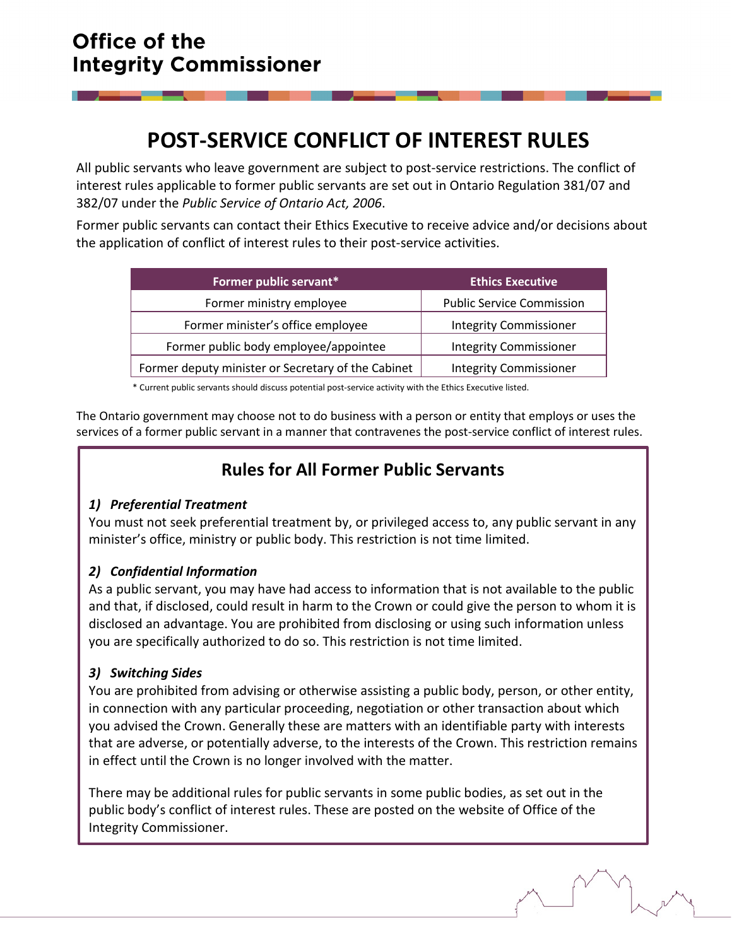# **POST-SERVICE CONFLICT OF INTEREST RULES**

All public servants who leave government are subject to post-service restrictions. The conflict of interest rules applicable to former public servants are set out in Ontario Regulation 381/07 and 382/07 under the *Public Service of Ontario Act, 2006*.

Former public servants can contact their Ethics Executive to receive advice and/or decisions about the application of conflict of interest rules to their post-service activities.

| Former public servant*                             | <b>Ethics Executive</b>          |
|----------------------------------------------------|----------------------------------|
| Former ministry employee                           | <b>Public Service Commission</b> |
| Former minister's office employee                  | <b>Integrity Commissioner</b>    |
| Former public body employee/appointee              | <b>Integrity Commissioner</b>    |
| Former deputy minister or Secretary of the Cabinet | <b>Integrity Commissioner</b>    |

\* Current public servants should discuss potential post-service activity with the Ethics Executive listed.

The Ontario government may choose not to do business with a person or entity that employs or uses the services of a former public servant in a manner that contravenes the post-service conflict of interest rules.

## **Rules for All Former Public Servants**

### *1) Preferential Treatment*

You must not seek preferential treatment by, or privileged access to, any public servant in any minister's office, ministry or public body. This restriction is not time limited.

### *2) Confidential Information*

As a public servant, you may have had access to information that is not available to the public and that, if disclosed, could result in harm to the Crown or could give the person to whom it is disclosed an advantage. You are prohibited from disclosing or using such information unless you are specifically authorized to do so. This restriction is not time limited.

### *3) Switching Sides*

You are prohibited from advising or otherwise assisting a public body, person, or other entity, in connection with any particular proceeding, negotiation or other transaction about which you advised the Crown. Generally these are matters with an identifiable party with interests that are adverse, or potentially adverse, to the interests of the Crown. This restriction remains in effect until the Crown is no longer involved with the matter.

There may be additional rules for public servants in some public bodies, as set out in the public body's conflict of interest rules. These are posted on the website of Office of the Integrity Commissioner.